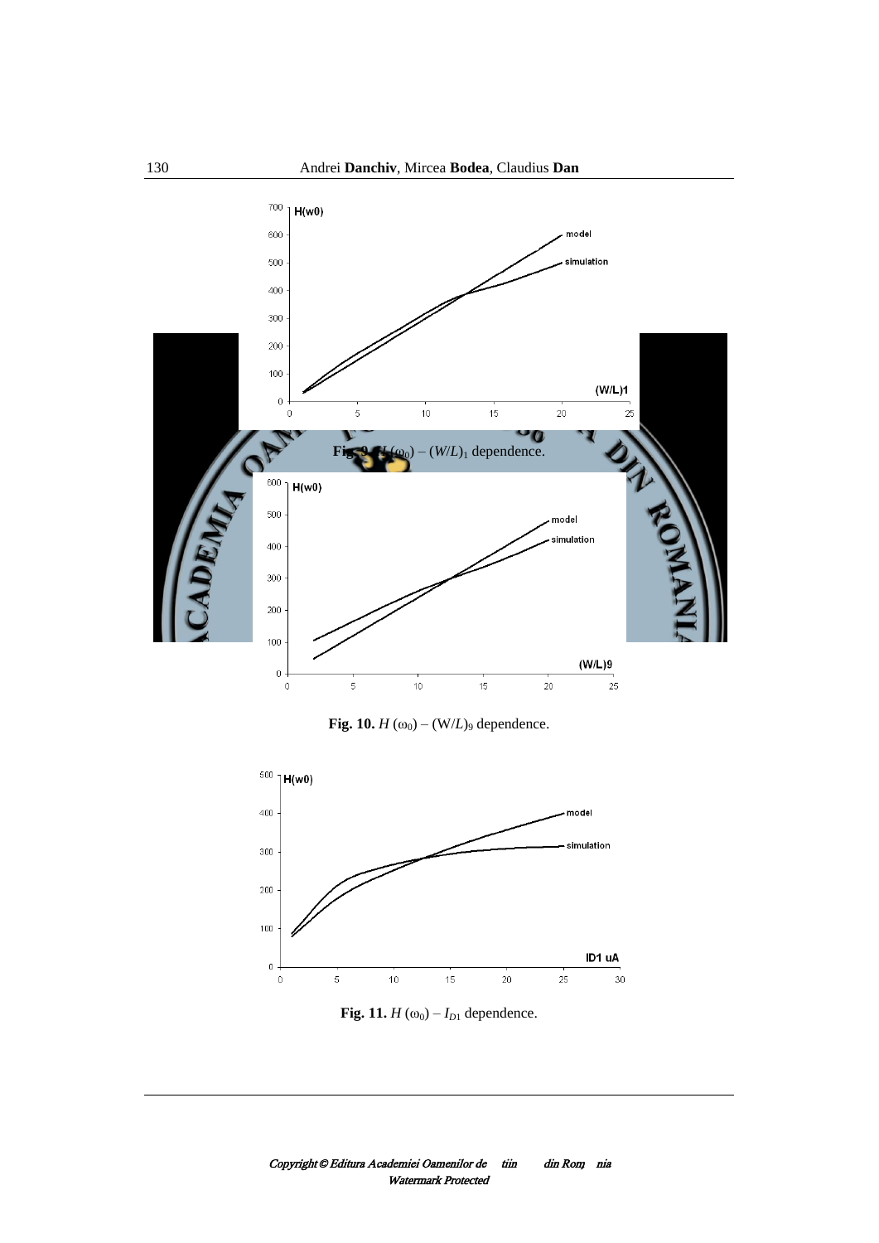





**Fig.** 10.  $H(\omega_0) - (W/L)_9$  dependence.



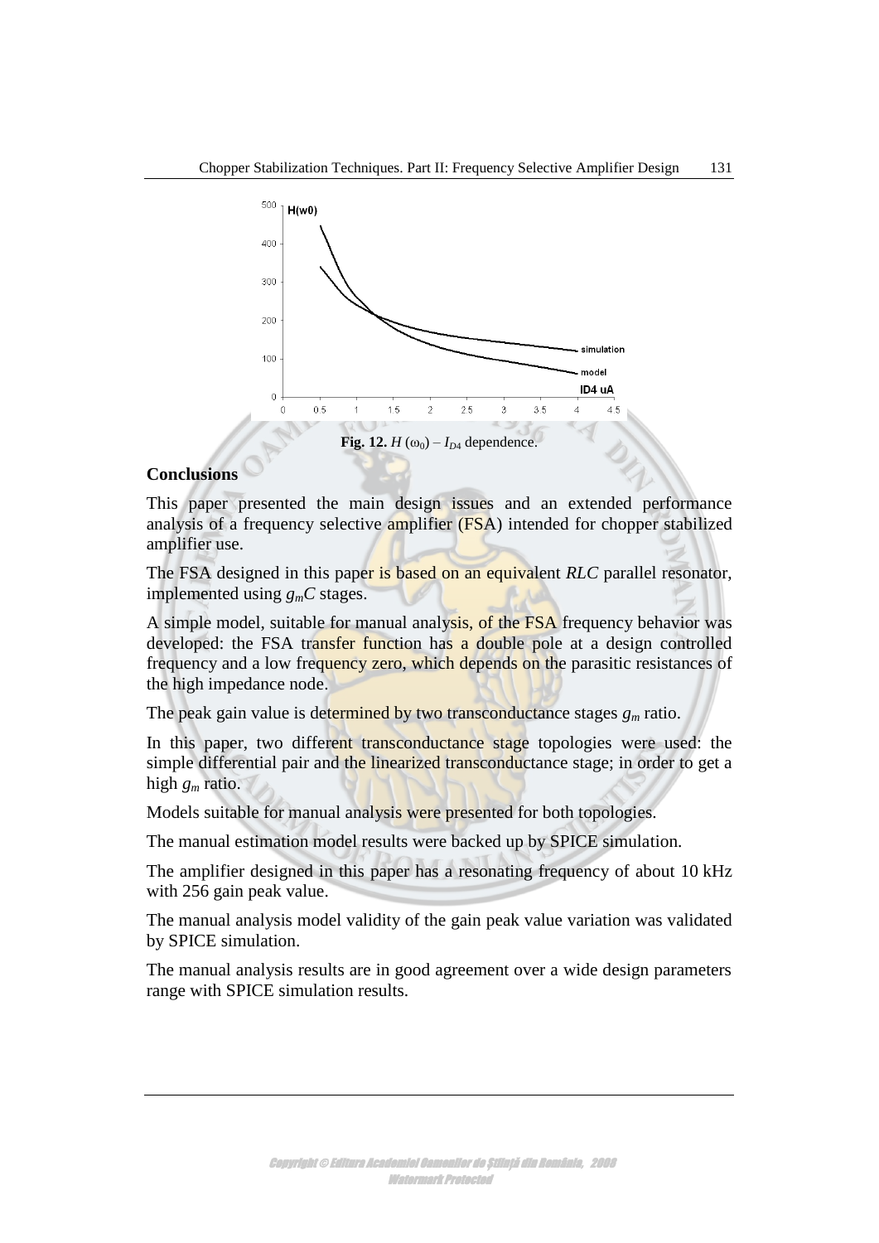

## **Conclusions**

This paper presented the main design issues and an extended performance analysis of a frequency selective amplifier (FSA) intended for chopper stabilized amplifier use.

The FSA designed in this paper is based on an equivalent *RLC* parallel resonator, implemented using *gmC* stages.

A simple model, suitable for manual analysis, of the FSA frequency behavior was developed: the FSA transfer function has a double pole at a design controlled frequency and a low frequency zero, which depends on the parasitic resistances of the high impedance node.

The peak gain value is determined by two transconductance stages  $g_m$  ratio.

In this paper, two different transconductance stage topologies were used: the simple differential pair and the linearized transconductance stage; in order to get a high *g<sup>m</sup>* ratio.

Models suitable for manual analysis were presented for both topologies.

The manual estimation model results were backed up by SPICE simulation.

The amplifier designed in this paper has a resonating frequency of about 10 kHz with 256 gain peak value.

The manual analysis model validity of the gain peak value variation was validated by SPICE simulation.

The manual analysis results are in good agreement over a wide design parameters range with SPICE simulation results.